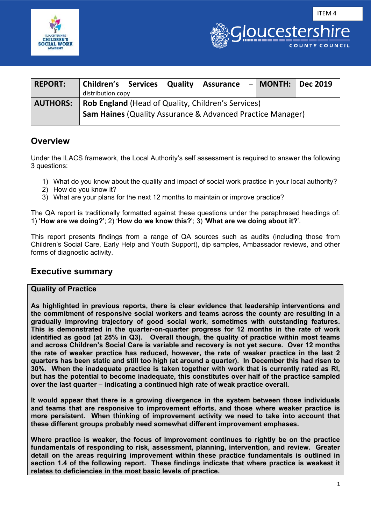



| <b>REPORT:</b>  | <b>Children's Services Quality</b><br>distribution copy |  | <b>Assurance</b>                                                                                                                   | –   MONTH:   Dec 2019 |  |
|-----------------|---------------------------------------------------------|--|------------------------------------------------------------------------------------------------------------------------------------|-----------------------|--|
| <b>AUTHORS:</b> |                                                         |  | <b>Rob England (Head of Quality, Children's Services)</b><br><b>Sam Haines (Quality Assurance &amp; Advanced Practice Manager)</b> |                       |  |

# **Overview**

Under the ILACS framework, the Local Authority's self assessment is required to answer the following 3 questions:

- 1) What do you know about the quality and impact of social work practice in your local authority?
- 2) How do you know it?
- 3) What are your plans for the next 12 months to maintain or improve practice?

The QA report is traditionally formatted against these questions under the paraphrased headings of: 1) '**How are we doing?**'; 2) '**How do we know this?**'; 3) '**What are we doing about it?**'.

This report presents findings from a range of QA sources such as audits (including those from Children's Social Care, Early Help and Youth Support), dip samples, Ambassador reviews, and other forms of diagnostic activity.

# **Executive summary**

# **Quality of Practice**

**As highlighted in previous reports, there is clear evidence that leadership interventions and the commitment of responsive social workers and teams across the county are resulting in a gradually improving trajectory of good social work, sometimes with outstanding features. This is demonstrated in the quarter-on-quarter progress for 12 months in the rate of work identified as good (at 25% in Q3). Overall though, the quality of practice within most teams and across Children's Social Care is variable and recovery is not yet secure. Over 12 months the rate of weaker practice has reduced, however, the rate of weaker practice in the last 2 quarters has been static and still too high (at around a quarter). In December this had risen to 30%. When the inadequate practice is taken together with work that is currently rated as RI, but has the potential to become inadequate, this constitutes over half of the practice sampled over the last quarter – indicating a continued high rate of weak practice overall.** 

**It would appear that there is a growing divergence in the system between those individuals and teams that are responsive to improvement efforts, and those where weaker practice is more persistent. When thinking of improvement activity we need to take into account that these different groups probably need somewhat different improvement emphases.** 

**Where practice is weaker, the focus of improvement continues to rightly be on the practice fundamentals of responding to risk, assessment, planning, intervention, and review. Greater detail on the areas requiring improvement within these practice fundamentals is outlined in section 1.4 of the following report. These findings indicate that where practice is weakest it relates to deficiencies in the most basic levels of practice.**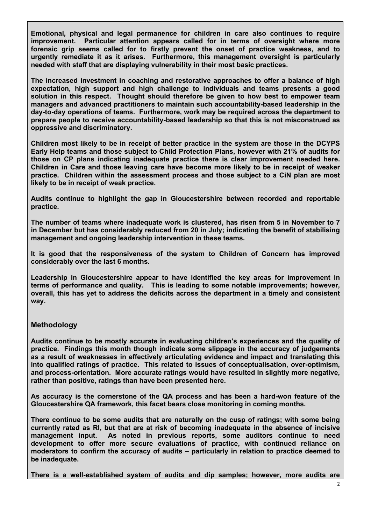**Emotional, physical and legal permanence for children in care also continues to require improvement. Particular attention appears called for in terms of oversight where more forensic grip seems called for to firstly prevent the onset of practice weakness, and to urgently remediate it as it arises. Furthermore, this management oversight is particularly needed with staff that are displaying vulnerability in their most basic practices.** 

**The increased investment in coaching and restorative approaches to offer a balance of high expectation, high support and high challenge to individuals and teams presents a good solution in this respect. Thought should therefore be given to how best to empower team managers and advanced practitioners to maintain such accountability-based leadership in the day-to-day operations of teams. Furthermore, work may be required across the department to prepare people to receive accountability-based leadership so that this is not misconstrued as oppressive and discriminatory.** 

**Children most likely to be in receipt of better practice in the system are those in the DCYPS Early Help teams and those subject to Child Protection Plans, however with 21% of audits for those on CP plans indicating inadequate practice there is clear improvement needed here. Children in Care and those leaving care have become more likely to be in receipt of weaker practice. Children within the assessment process and those subject to a CiN plan are most likely to be in receipt of weak practice.** 

**Audits continue to highlight the gap in Gloucestershire between recorded and reportable practice.** 

**The number of teams where inadequate work is clustered, has risen from 5 in November to 7 in December but has considerably reduced from 20 in July; indicating the benefit of stabilising management and ongoing leadership intervention in these teams.** 

**It is good that the responsiveness of the system to Children of Concern has improved considerably over the last 6 months.** 

**Leadership in Gloucestershire appear to have identified the key areas for improvement in terms of performance and quality. This is leading to some notable improvements; however, overall, this has yet to address the deficits across the department in a timely and consistent way.** 

# **Methodology**

**Audits continue to be mostly accurate in evaluating children's experiences and the quality of practice. Findings this month though indicate some slippage in the accuracy of judgements as a result of weaknesses in effectively articulating evidence and impact and translating this into qualified ratings of practice. This related to issues of conceptualisation, over-optimism, and process-orientation. More accurate ratings would have resulted in slightly more negative, rather than positive, ratings than have been presented here.** 

**As accuracy is the cornerstone of the QA process and has been a hard-won feature of the Gloucestershire QA framework, this facet bears close monitoring in coming months.** 

**There continue to be some audits that are naturally on the cusp of ratings; with some being currently rated as RI, but that are at risk of becoming inadequate in the absence of incisive management input. As noted in previous reports, some auditors continue to need development to offer more secure evaluations of practice, with continued reliance on moderators to confirm the accuracy of audits – particularly in relation to practice deemed to be inadequate.** 

**There is a well-established system of audits and dip samples; however, more audits are**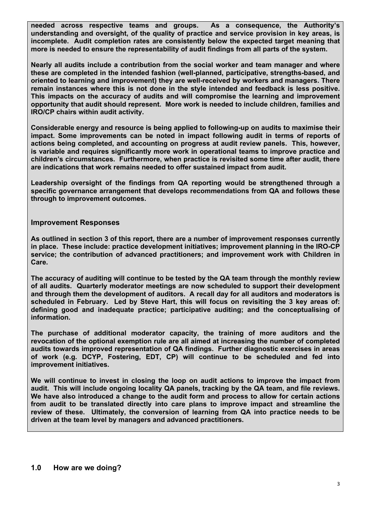**needed across respective teams and groups. As a consequence, the Authority's understanding and oversight, of the quality of practice and service provision in key areas, is incomplete. Audit completion rates are consistently below the expected target meaning that more is needed to ensure the representability of audit findings from all parts of the system.** 

**Nearly all audits include a contribution from the social worker and team manager and where these are completed in the intended fashion (well-planned, participative, strengths-based, and oriented to learning and improvement) they are well-received by workers and managers. There remain instances where this is not done in the style intended and feedback is less positive. This impacts on the accuracy of audits and will compromise the learning and improvement opportunity that audit should represent. More work is needed to include children, families and IRO/CP chairs within audit activity.** 

**Considerable energy and resource is being applied to following-up on audits to maximise their impact. Some improvements can be noted in impact following audit in terms of reports of actions being completed, and accounting on progress at audit review panels. This, however, is variable and requires significantly more work in operational teams to improve practice and children's circumstances. Furthermore, when practice is revisited some time after audit, there are indications that work remains needed to offer sustained impact from audit.**

**Leadership oversight of the findings from QA reporting would be strengthened through a specific governance arrangement that develops recommendations from QA and follows these through to improvement outcomes.**

#### **Improvement Responses**

**As outlined in section 3 of this report, there are a number of improvement responses currently in place. These include: practice development initiatives; improvement planning in the IRO-CP service; the contribution of advanced practitioners; and improvement work with Children in Care.** 

**The accuracy of auditing will continue to be tested by the QA team through the monthly review of all audits. Quarterly moderator meetings are now scheduled to support their development and through them the development of auditors. A recall day for all auditors and moderators is scheduled in February. Led by Steve Hart, this will focus on revisiting the 3 key areas of: defining good and inadequate practice; participative auditing; and the conceptualising of information.**

**The purchase of additional moderator capacity, the training of more auditors and the revocation of the optional exemption rule are all aimed at increasing the number of completed audits towards improved representation of QA findings. Further diagnostic exercises in areas of work (e.g. DCYP, Fostering, EDT, CP) will continue to be scheduled and fed into improvement initiatives.** 

**We will continue to invest in closing the loop on audit actions to improve the impact from audit. This will include ongoing locality QA panels, tracking by the QA team, and file reviews. We have also introduced a change to the audit form and process to allow for certain actions from audit to be translated directly into care plans to improve impact and streamline the review of these. Ultimately, the conversion of learning from QA into practice needs to be driven at the team level by managers and advanced practitioners.**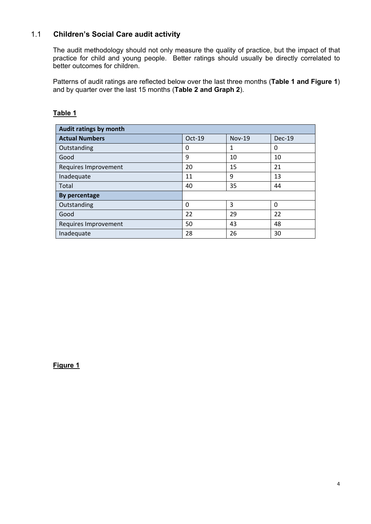# 1.1 **Children's Social Care audit activity**

The audit methodology should not only measure the quality of practice, but the impact of that practice for child and young people. Better ratings should usually be directly correlated to better outcomes for children.

Patterns of audit ratings are reflected below over the last three months (**Table 1 and Figure 1**) and by quarter over the last 15 months (**Table 2 and Graph 2**).

| Audit ratings by month |          |               |               |  |  |  |  |  |
|------------------------|----------|---------------|---------------|--|--|--|--|--|
| <b>Actual Numbers</b>  | Oct-19   | <b>Nov-19</b> | <b>Dec-19</b> |  |  |  |  |  |
| Outstanding            | 0        | $\mathbf{1}$  | 0             |  |  |  |  |  |
| Good                   | 9        | 10            | 10            |  |  |  |  |  |
| Requires Improvement   | 20       | 15            | 21            |  |  |  |  |  |
| Inadequate             | 11       | 9             | 13            |  |  |  |  |  |
| Total                  | 40       | 35            | 44            |  |  |  |  |  |
| By percentage          |          |               |               |  |  |  |  |  |
| Outstanding            | $\Omega$ | 3             | $\Omega$      |  |  |  |  |  |
| Good                   | 22       | 29            | 22            |  |  |  |  |  |
| Requires Improvement   | 50       | 43            | 48            |  |  |  |  |  |
| Inadequate             | 28       | 26            | 30            |  |  |  |  |  |

# **Table 1**

**Figure 1**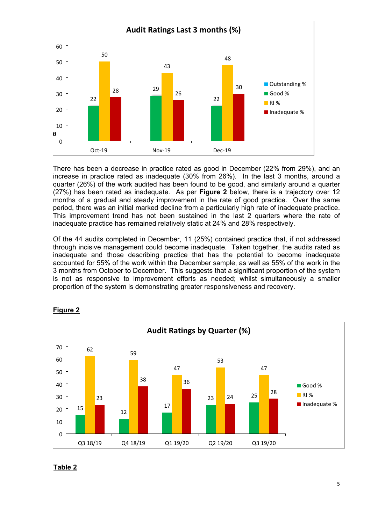

There has been a decrease in practice rated as good in December (22% from 29%), and an increase in practice rated as inadequate (30% from 26%). In the last 3 months, around a quarter (26%) of the work audited has been found to be good, and similarly around a quarter (27%) has been rated as inadequate. As per **Figure 2** below, there is a trajectory over 12 months of a gradual and steady improvement in the rate of good practice. Over the same period, there was an initial marked decline from a particularly high rate of inadequate practice. This improvement trend has not been sustained in the last 2 quarters where the rate of inadequate practice has remained relatively static at 24% and 28% respectively.

Of the 44 audits completed in December, 11 (25%) contained practice that, if not addressed through incisive management could become inadequate. Taken together, the audits rated as inadequate and those describing practice that has the potential to become inadequate accounted for 55% of the work within the December sample, as well as 55% of the work in the 3 months from October to December. This suggests that a significant proportion of the system is not as responsive to improvement efforts as needed; whilst simultaneously a smaller proportion of the system is demonstrating greater responsiveness and recovery.



#### **Figure 2**

#### **Table 2**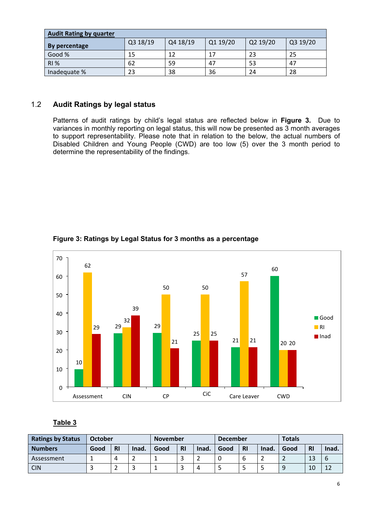| <b>Audit Rating by quarter</b> |          |          |          |          |          |  |  |  |  |
|--------------------------------|----------|----------|----------|----------|----------|--|--|--|--|
| By percentage                  | Q3 18/19 | Q4 18/19 | Q1 19/20 | Q2 19/20 | Q3 19/20 |  |  |  |  |
| Good %                         | 15       | 12       | 17       | 23       | 25       |  |  |  |  |
| <b>RI %</b>                    | 62       | 59       | 47       | 53       | 47       |  |  |  |  |
| Inadequate %                   | 23       | 38       | 36       | 24       | 28       |  |  |  |  |

# 1.2 **Audit Ratings by legal status**

Patterns of audit ratings by child's legal status are reflected below in **Figure 3.** Due to variances in monthly reporting on legal status, this will now be presented as 3 month averages to support representability. Please note that in relation to the below, the actual numbers of Disabled Children and Young People (CWD) are too low (5) over the 3 month period to determine the representability of the findings.



**Figure 3: Ratings by Legal Status for 3 months as a percentage**

# **Table 3**

| <b>Ratings by Status</b> | October |           |       | <b>November</b> |                               |       | <b>December</b> |           |       | <b>Totals</b> |           |       |
|--------------------------|---------|-----------|-------|-----------------|-------------------------------|-------|-----------------|-----------|-------|---------------|-----------|-------|
| <b>Numbers</b>           | Good    | <b>RI</b> | Inad. | Good            | <b>RI</b>                     | Inad. | Good            | <b>RI</b> | Inad. | Good          | <b>RI</b> | Inad. |
| Assessment               |         |           |       |                 | $\overline{\phantom{0}}$<br>- | -     |                 |           |       |               | 13        | b     |
| CIN                      |         | ∸         | ٠     |                 | ٮ                             | 4     |                 |           | ٠     | Q             | 10        | ┸     |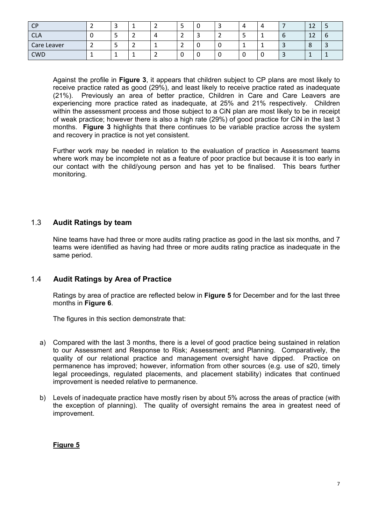| <b>CP</b>   |   | -      |          | ے             | υ      |  |   |   | 12<br>ᅩ       | ٮ        |
|-------------|---|--------|----------|---------------|--------|--|---|---|---------------|----------|
| <b>CLA</b>  |   | ∽<br>_ | $\prime$ | ∽<br>_        | ∽<br>ັ |  | - | O | ר ו<br>A<br>ᅩ | $\sigma$ |
| Care Leaver | ے | -<br>- |          | ۰<br><u>.</u> | υ      |  | - | ັ | $\Omega$<br>் |          |
| <b>CWD</b>  |   |        |          | ັ             | υ      |  | ີ | ັ | <b>.</b>      |          |

Against the profile in **Figure 3**, it appears that children subject to CP plans are most likely to receive practice rated as good (29%), and least likely to receive practice rated as inadequate (21%). Previously an area of better practice, Children in Care and Care Leavers are experiencing more practice rated as inadequate, at 25% and 21% respectively. Children within the assessment process and those subject to a CiN plan are most likely to be in receipt of weak practice; however there is also a high rate (29%) of good practice for CiN in the last 3 months. **Figure 3** highlights that there continues to be variable practice across the system and recovery in practice is not yet consistent.

Further work may be needed in relation to the evaluation of practice in Assessment teams where work may be incomplete not as a feature of poor practice but because it is too early in our contact with the child/young person and has yet to be finalised. This bears further monitoring.

# 1.3 **Audit Ratings by team**

Nine teams have had three or more audits rating practice as good in the last six months, and 7 teams were identified as having had three or more audits rating practice as inadequate in the same period.

# 1.4 **Audit Ratings by Area of Practice**

Ratings by area of practice are reflected below in **Figure 5** for December and for the last three months in **Figure 6**.

The figures in this section demonstrate that:

- a) Compared with the last 3 months, there is a level of good practice being sustained in relation to our Assessment and Response to Risk; Assessment; and Planning. Comparatively, the quality of our relational practice and management oversight have dipped. Practice on permanence has improved; however, information from other sources (e.g. use of s20, timely legal proceedings, regulated placements, and placement stability) indicates that continued improvement is needed relative to permanence.
- b) Levels of inadequate practice have mostly risen by about 5% across the areas of practice (with the exception of planning). The quality of oversight remains the area in greatest need of improvement.

#### **Figure 5**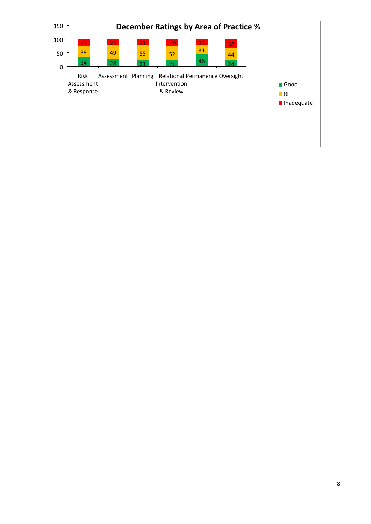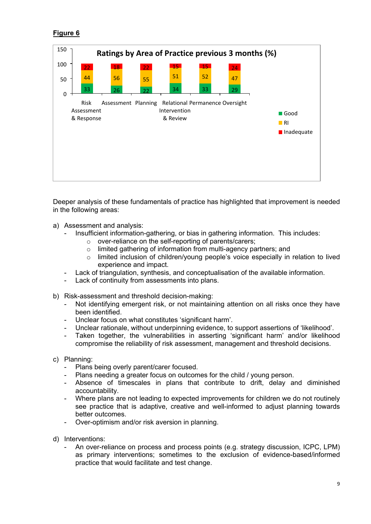# **Figure 6**



Deeper analysis of these fundamentals of practice has highlighted that improvement is needed in the following areas:

- a) Assessment and analysis:
	- Insufficient information-gathering, or bias in gathering information. This includes:
		- o over-reliance on the self-reporting of parents/carers;
		- o limited gathering of information from multi-agency partners; and
		- $\circ$  limited inclusion of children/young people's voice especially in relation to lived experience and impact.
	- Lack of triangulation, synthesis, and conceptualisation of the available information.
	- Lack of continuity from assessments into plans.
- b) Risk-assessment and threshold decision-making:
	- Not identifying emergent risk, or not maintaining attention on all risks once they have been identified.
	- Unclear focus on what constitutes 'significant harm'.
	- Unclear rationale, without underpinning evidence, to support assertions of 'likelihood'.
	- Taken together, the vulnerabilities in asserting 'significant harm' and/or likelihood compromise the reliability of risk assessment, management and threshold decisions.
- c) Planning:
	- Plans being overly parent/carer focused.
	- Plans needing a greater focus on outcomes for the child / young person.
	- Absence of timescales in plans that contribute to drift, delay and diminished accountability.
	- Where plans are not leading to expected improvements for children we do not routinely see practice that is adaptive, creative and well-informed to adjust planning towards better outcomes.
	- Over-optimism and/or risk aversion in planning.
- d) Interventions:
	- An over-reliance on process and process points (e.g. strategy discussion, ICPC, LPM) as primary interventions; sometimes to the exclusion of evidence-based/informed practice that would facilitate and test change.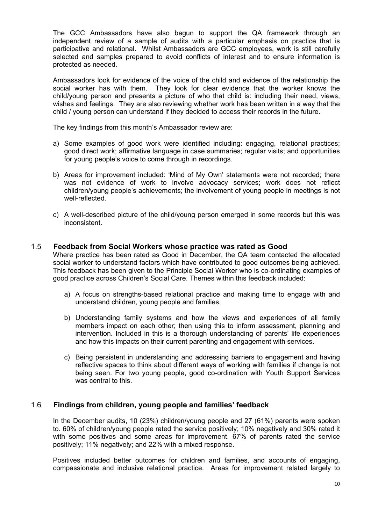The GCC Ambassadors have also begun to support the QA framework through an independent review of a sample of audits with a particular emphasis on practice that is participative and relational. Whilst Ambassadors are GCC employees, work is still carefully selected and samples prepared to avoid conflicts of interest and to ensure information is protected as needed.

Ambassadors look for evidence of the voice of the child and evidence of the relationship the social worker has with them. They look for clear evidence that the worker knows the child/young person and presents a picture of who that child is: including their need, views, wishes and feelings. They are also reviewing whether work has been written in a way that the child / young person can understand if they decided to access their records in the future.

The key findings from this month's Ambassador review are:

- a) Some examples of good work were identified including: engaging, relational practices; good direct work; affirmative language in case summaries; regular visits; and opportunities for young people's voice to come through in recordings.
- b) Areas for improvement included: 'Mind of My Own' statements were not recorded; there was not evidence of work to involve advocacy services; work does not reflect children/young people's achievements; the involvement of young people in meetings is not well-reflected.
- c) A well-described picture of the child/young person emerged in some records but this was inconsistent.

#### 1.5 **Feedback from Social Workers whose practice was rated as Good**

Where practice has been rated as Good in December, the QA team contacted the allocated social worker to understand factors which have contributed to good outcomes being achieved. This feedback has been given to the Principle Social Worker who is co-ordinating examples of good practice across Children's Social Care. Themes within this feedback included:

- a) A focus on strengths-based relational practice and making time to engage with and understand children, young people and families.
- b) Understanding family systems and how the views and experiences of all family members impact on each other; then using this to inform assessment, planning and intervention. Included in this is a thorough understanding of parents' life experiences and how this impacts on their current parenting and engagement with services.
- c) Being persistent in understanding and addressing barriers to engagement and having reflective spaces to think about different ways of working with families if change is not being seen. For two young people, good co-ordination with Youth Support Services was central to this.

#### 1.6 **Findings from children, young people and families' feedback**

In the December audits, 10 (23%) children/young people and 27 (61%) parents were spoken to. 60% of children/young people rated the service positively; 10% negatively and 30% rated it with some positives and some areas for improvement. 67% of parents rated the service positively; 11% negatively; and 22% with a mixed response.

Positives included better outcomes for children and families, and accounts of engaging, compassionate and inclusive relational practice. Areas for improvement related largely to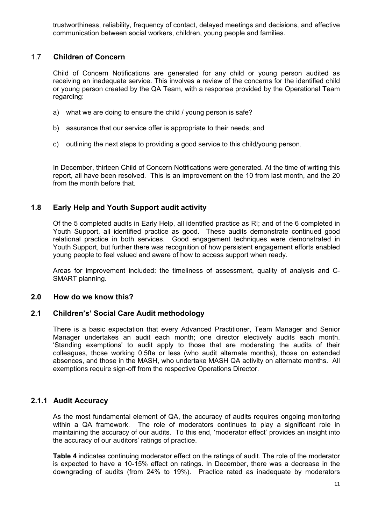trustworthiness, reliability, frequency of contact, delayed meetings and decisions, and effective communication between social workers, children, young people and families.

# 1.7 **Children of Concern**

Child of Concern Notifications are generated for any child or young person audited as receiving an inadequate service. This involves a review of the concerns for the identified child or young person created by the QA Team, with a response provided by the Operational Team regarding:

- a) what we are doing to ensure the child / young person is safe?
- b) assurance that our service offer is appropriate to their needs; and
- c) outlining the next steps to providing a good service to this child/young person.

In December, thirteen Child of Concern Notifications were generated. At the time of writing this report, all have been resolved. This is an improvement on the 10 from last month, and the 20 from the month before that.

# **1.8 Early Help and Youth Support audit activity**

Of the 5 completed audits in Early Help, all identified practice as RI; and of the 6 completed in Youth Support, all identified practice as good. These audits demonstrate continued good relational practice in both services. Good engagement techniques were demonstrated in Youth Support, but further there was recognition of how persistent engagement efforts enabled young people to feel valued and aware of how to access support when ready.

Areas for improvement included: the timeliness of assessment, quality of analysis and C-SMART planning.

# **2.0 How do we know this?**

# **2.1 Children's' Social Care Audit methodology**

There is a basic expectation that every Advanced Practitioner, Team Manager and Senior Manager undertakes an audit each month; one director electively audits each month. 'Standing exemptions' to audit apply to those that are moderating the audits of their colleagues, those working 0.5fte or less (who audit alternate months), those on extended absences, and those in the MASH, who undertake MASH QA activity on alternate months. All exemptions require sign-off from the respective Operations Director.

# **2.1.1 Audit Accuracy**

As the most fundamental element of QA, the accuracy of audits requires ongoing monitoring within a QA framework. The role of moderators continues to play a significant role in maintaining the accuracy of our audits. To this end, 'moderator effect' provides an insight into the accuracy of our auditors' ratings of practice.

**Table 4** indicates continuing moderator effect on the ratings of audit. The role of the moderator is expected to have a 10-15% effect on ratings. In December, there was a decrease in the downgrading of audits (from 24% to 19%). Practice rated as inadequate by moderators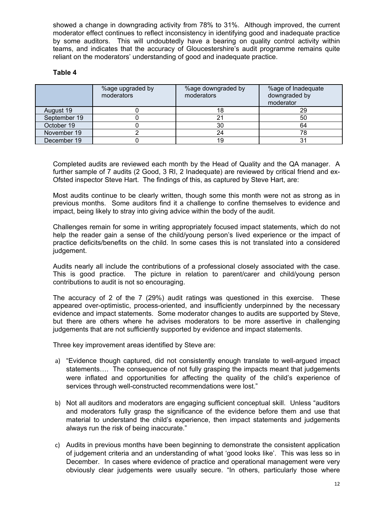showed a change in downgrading activity from 78% to 31%. Although improved, the current moderator effect continues to reflect inconsistency in identifying good and inadequate practice by some auditors. This will undoubtedly have a bearing on quality control activity within teams, and indicates that the accuracy of Gloucestershire's audit programme remains quite reliant on the moderators' understanding of good and inadequate practice.

#### **Table 4**

|              | %age upgraded by<br>moderators | %age downgraded by<br>moderators | %age of Inadequate<br>downgraded by<br>moderator |
|--------------|--------------------------------|----------------------------------|--------------------------------------------------|
| August 19    |                                |                                  | 29                                               |
| September 19 |                                |                                  | 50                                               |
| October 19   |                                | 30                               | 64                                               |
| November 19  |                                | 24                               | 78                                               |
| December 19  |                                |                                  |                                                  |

Completed audits are reviewed each month by the Head of Quality and the QA manager. A further sample of 7 audits (2 Good, 3 RI, 2 Inadequate) are reviewed by critical friend and ex-Ofsted inspector Steve Hart. The findings of this, as captured by Steve Hart, are:

Most audits continue to be clearly written, though some this month were not as strong as in previous months. Some auditors find it a challenge to confine themselves to evidence and impact, being likely to stray into giving advice within the body of the audit.

Challenges remain for some in writing appropriately focused impact statements, which do not help the reader gain a sense of the child/young person's lived experience or the impact of practice deficits/benefits on the child. In some cases this is not translated into a considered judgement.

Audits nearly all include the contributions of a professional closely associated with the case. This is good practice. The picture in relation to parent/carer and child/young person contributions to audit is not so encouraging.

The accuracy of 2 of the 7 (29%) audit ratings was questioned in this exercise. These appeared over-optimistic, process-oriented, and insufficiently underpinned by the necessary evidence and impact statements. Some moderator changes to audits are supported by Steve, but there are others where he advises moderators to be more assertive in challenging judgements that are not sufficiently supported by evidence and impact statements.

Three key improvement areas identified by Steve are:

- a) "Evidence though captured, did not consistently enough translate to well-argued impact statements…. The consequence of not fully grasping the impacts meant that judgements were inflated and opportunities for affecting the quality of the child's experience of services through well-constructed recommendations were lost."
- b) Not all auditors and moderators are engaging sufficient conceptual skill. Unless "auditors and moderators fully grasp the significance of the evidence before them and use that material to understand the child's experience, then impact statements and judgements always run the risk of being inaccurate."
- c) Audits in previous months have been beginning to demonstrate the consistent application of judgement criteria and an understanding of what 'good looks like'. This was less so in December. In cases where evidence of practice and operational management were very obviously clear judgements were usually secure. "In others, particularly those where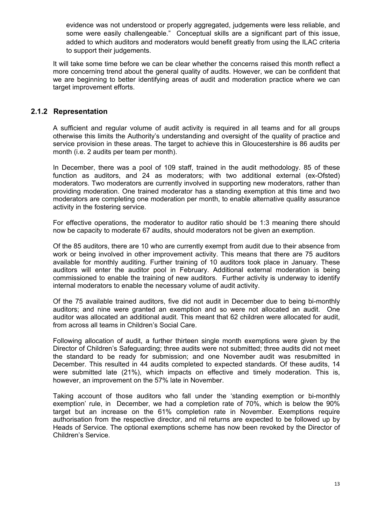evidence was not understood or properly aggregated, judgements were less reliable, and some were easily challengeable." Conceptual skills are a significant part of this issue, added to which auditors and moderators would benefit greatly from using the ILAC criteria to support their judgements.

It will take some time before we can be clear whether the concerns raised this month reflect a more concerning trend about the general quality of audits. However, we can be confident that we are beginning to better identifying areas of audit and moderation practice where we can target improvement efforts.

#### **2.1.2 Representation**

A sufficient and regular volume of audit activity is required in all teams and for all groups otherwise this limits the Authority's understanding and oversight of the quality of practice and service provision in these areas. The target to achieve this in Gloucestershire is 86 audits per month (i.e. 2 audits per team per month).

In December, there was a pool of 109 staff, trained in the audit methodology. 85 of these function as auditors, and 24 as moderators; with two additional external (ex-Ofsted) moderators. Two moderators are currently involved in supporting new moderators, rather than providing moderation. One trained moderator has a standing exemption at this time and two moderators are completing one moderation per month, to enable alternative quality assurance activity in the fostering service.

For effective operations, the moderator to auditor ratio should be 1:3 meaning there should now be capacity to moderate 67 audits, should moderators not be given an exemption.

Of the 85 auditors, there are 10 who are currently exempt from audit due to their absence from work or being involved in other improvement activity. This means that there are 75 auditors available for monthly auditing. Further training of 10 auditors took place in January. These auditors will enter the auditor pool in February. Additional external moderation is being commissioned to enable the training of new auditors. Further activity is underway to identify internal moderators to enable the necessary volume of audit activity.

Of the 75 available trained auditors, five did not audit in December due to being bi-monthly auditors; and nine were granted an exemption and so were not allocated an audit. One auditor was allocated an additional audit. This meant that 62 children were allocated for audit, from across all teams in Children's Social Care.

Following allocation of audit, a further thirteen single month exemptions were given by the Director of Children's Safeguarding; three audits were not submitted; three audits did not meet the standard to be ready for submission; and one November audit was resubmitted in December. This resulted in 44 audits completed to expected standards. Of these audits, 14 were submitted late (21%), which impacts on effective and timely moderation. This is, however, an improvement on the 57% late in November.

Taking account of those auditors who fall under the 'standing exemption or bi-monthly exemption' rule, in December, we had a completion rate of 70%, which is below the 90% target but an increase on the 61% completion rate in November. Exemptions require authorisation from the respective director, and nil returns are expected to be followed up by Heads of Service. The optional exemptions scheme has now been revoked by the Director of Children's Service.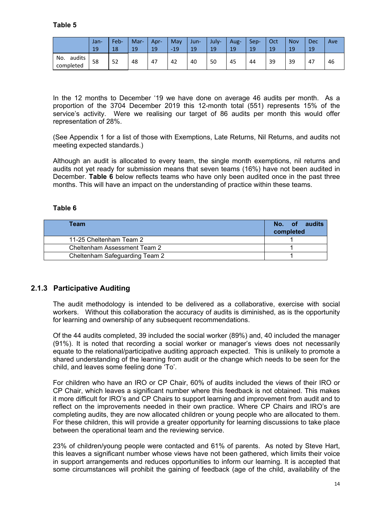|                            | Jan-<br>19 | Feb-<br>18 | Mar-<br>19 | Apr-<br>19 | May<br>$-19$<br>- | Jun-<br>19 | July-<br>19 | Aug-<br>19 | Sep-<br>19 | Oct<br>19 | <b>Nov</b><br>1 <sub>0</sub> | <b>Dec</b><br>19 | Ave |
|----------------------------|------------|------------|------------|------------|-------------------|------------|-------------|------------|------------|-----------|------------------------------|------------------|-----|
| audits<br>No.<br>completed | 58         | 52         | 48         | 47         | 42                | 40         | 50          | 45         | 44         | 39        | 39                           | 47               | 46  |

In the 12 months to December '19 we have done on average 46 audits per month. As a proportion of the 3704 December 2019 this 12-month total (551) represents 15% of the service's activity. Were we realising our target of 86 audits per month this would offer representation of 28%.

(See Appendix 1 for a list of those with Exemptions, Late Returns, Nil Returns, and audits not meeting expected standards.)

Although an audit is allocated to every team, the single month exemptions, nil returns and audits not yet ready for submission means that seven teams (16%) have not been audited in December. **Table 6** below reflects teams who have only been audited once in the past three months. This will have an impact on the understanding of practice within these teams.

#### **Table 6**

| Team                           | No. of audits<br>completed |
|--------------------------------|----------------------------|
| 11-25 Cheltenham Team 2        |                            |
| Cheltenham Assessment Team 2   |                            |
| Cheltenham Safeguarding Team 2 |                            |

# **2.1.3 Participative Auditing**

The audit methodology is intended to be delivered as a collaborative, exercise with social workers. Without this collaboration the accuracy of audits is diminished, as is the opportunity for learning and ownership of any subsequent recommendations.

Of the 44 audits completed, 39 included the social worker (89%) and, 40 included the manager (91%). It is noted that recording a social worker or manager's views does not necessarily equate to the relational/participative auditing approach expected. This is unlikely to promote a shared understanding of the learning from audit or the change which needs to be seen for the child, and leaves some feeling done 'To'.

For children who have an IRO or CP Chair, 60% of audits included the views of their IRO or CP Chair, which leaves a significant number where this feedback is not obtained. This makes it more difficult for IRO's and CP Chairs to support learning and improvement from audit and to reflect on the improvements needed in their own practice. Where CP Chairs and IRO's are completing audits, they are now allocated children or young people who are allocated to them. For these children, this will provide a greater opportunity for learning discussions to take place between the operational team and the reviewing service.

23% of children/young people were contacted and 61% of parents. As noted by Steve Hart, this leaves a significant number whose views have not been gathered, which limits their voice in support arrangements and reduces opportunities to inform our learning. It is accepted that some circumstances will prohibit the gaining of feedback (age of the child, availability of the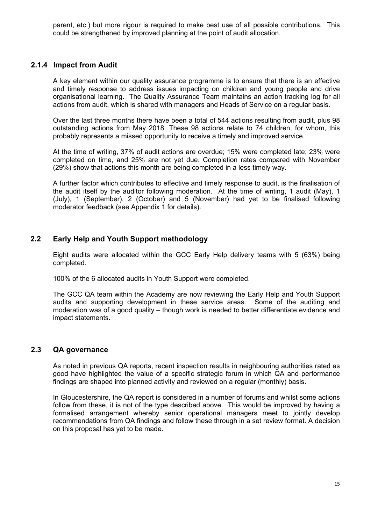parent, etc.) but more rigour is required to make best use of all possible contributions. This could be strengthened by improved planning at the point of audit allocation.

#### **2.1.4 Impact from Audit**

A key element within our quality assurance programme is to ensure that there is an effective and timely response to address issues impacting on children and young people and drive organisational learning. The Quality Assurance Team maintains an action tracking log for all actions from audit, which is shared with managers and Heads of Service on a regular basis.

Over the last three months there have been a total of 544 actions resulting from audit, plus 98 outstanding actions from May 2018. These 98 actions relate to 74 children, for whom, this probably represents a missed opportunity to receive a timely and improved service.

At the time of writing, 37% of audit actions are overdue; 15% were completed late; 23% were completed on time, and 25% are not yet due. Completion rates compared with November (29%) show that actions this month are being completed in a less timely way.

A further factor which contributes to effective and timely response to audit, is the finalisation of the audit itself by the auditor following moderation. At the time of writing, 1 audit (May), 1 (July), 1 (September), 2 (October) and 5 (November) had yet to be finalised following moderator feedback (see Appendix 1 for details).

# **2.2 Early Help and Youth Support methodology**

Eight audits were allocated within the GCC Early Help delivery teams with 5 (63%) being completed.

100% of the 6 allocated audits in Youth Support were completed.

The GCC QA team within the Academy are now reviewing the Early Help and Youth Support audits and supporting development in these service areas. Some of the auditing and moderation was of a good quality – though work is needed to better differentiate evidence and impact statements.

# **2.3 QA governance**

As noted in previous QA reports, recent inspection results in neighbouring authorities rated as good have highlighted the value of a specific strategic forum in which QA and performance findings are shaped into planned activity and reviewed on a regular (monthly) basis.

In Gloucestershire, the QA report is considered in a number of forums and whilst some actions follow from these, it is not of the type described above. This would be improved by having a formalised arrangement whereby senior operational managers meet to jointly develop recommendations from QA findings and follow these through in a set review format. A decision on this proposal has yet to be made.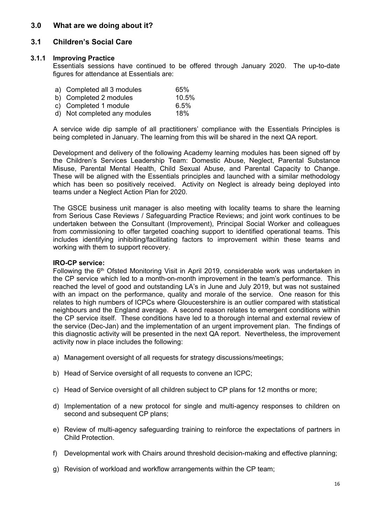#### **3.0 What are we doing about it?**

#### **3.1 Children's Social Care**

#### **3.1.1 Improving Practice**

Essentials sessions have continued to be offered through January 2020. The up-to-date figures for attendance at Essentials are:

| a) Completed all 3 modules   | 65%   |
|------------------------------|-------|
| b) Completed 2 modules       | 10.5% |
| c) Completed 1 module        | 6.5%  |
| d) Not completed any modules | 18%   |

A service wide dip sample of all practitioners' compliance with the Essentials Principles is being completed in January. The learning from this will be shared in the next QA report.

Development and delivery of the following Academy learning modules has been signed off by the Children's Services Leadership Team: Domestic Abuse, Neglect, Parental Substance Misuse, Parental Mental Health, Child Sexual Abuse, and Parental Capacity to Change. These will be aligned with the Essentials principles and launched with a similar methodology which has been so positively received. Activity on Neglect is already being deployed into teams under a Neglect Action Plan for 2020.

The GSCE business unit manager is also meeting with locality teams to share the learning from Serious Case Reviews / Safeguarding Practice Reviews; and joint work continues to be undertaken between the Consultant (Improvement), Principal Social Worker and colleagues from commissioning to offer targeted coaching support to identified operational teams. This includes identifying inhibiting/facilitating factors to improvement within these teams and working with them to support recovery.

#### **IRO-CP service:**

Following the 6<sup>th</sup> Ofsted Monitoring Visit in April 2019, considerable work was undertaken in the CP service which led to a month-on-month improvement in the team's performance. This reached the level of good and outstanding LA's in June and July 2019, but was not sustained with an impact on the performance, quality and morale of the service. One reason for this relates to high numbers of ICPCs where Gloucestershire is an outlier compared with statistical neighbours and the England average. A second reason relates to emergent conditions within the CP service itself. These conditions have led to a thorough internal and external review of the service (Dec-Jan) and the implementation of an urgent improvement plan. The findings of this diagnostic activity will be presented in the next QA report. Nevertheless, the improvement activity now in place includes the following:

- a) Management oversight of all requests for strategy discussions/meetings;
- b) Head of Service oversight of all requests to convene an ICPC;
- c) Head of Service oversight of all children subject to CP plans for 12 months or more;
- d) Implementation of a new protocol for single and multi-agency responses to children on second and subsequent CP plans;
- e) Review of multi-agency safeguarding training to reinforce the expectations of partners in Child Protection.
- f) Developmental work with Chairs around threshold decision-making and effective planning;
- g) Revision of workload and workflow arrangements within the CP team;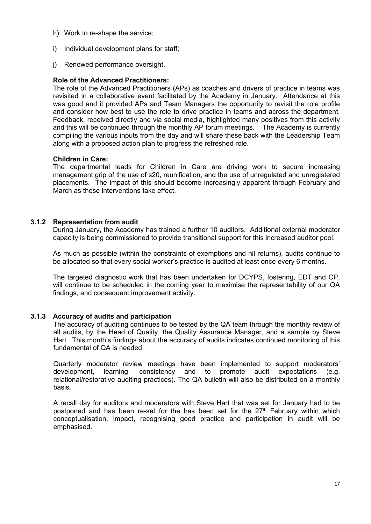- h) Work to re-shape the service;
- i) Individual development plans for staff;
- j) Renewed performance oversight.

#### **Role of the Advanced Practitioners:**

The role of the Advanced Practitioners (APs) as coaches and drivers of practice in teams was revisited in a collaborative event facilitated by the Academy in January. Attendance at this was good and it provided APs and Team Managers the opportunity to revisit the role profile and consider how best to use the role to drive practice in teams and across the department. Feedback, received directly and via social media, highlighted many positives from this activity and this will be continued through the monthly AP forum meetings. The Academy is currently compiling the various inputs from the day and will share these back with the Leadership Team along with a proposed action plan to progress the refreshed role.

#### **Children in Care:**

The departmental leads for Children in Care are driving work to secure increasing management grip of the use of s20, reunification, and the use of unregulated and unregistered placements. The impact of this should become increasingly apparent through February and March as these interventions take effect.

#### **3.1.2 Representation from audit**

During January, the Academy has trained a further 10 auditors. Additional external moderator capacity is being commissioned to provide transitional support for this increased auditor pool.

As much as possible (within the constraints of exemptions and nil returns), audits continue to be allocated so that every social worker's practice is audited at least once every 6 months.

The targeted diagnostic work that has been undertaken for DCYPS, fostering, EDT and CP, will continue to be scheduled in the coming year to maximise the representability of our QA findings, and consequent improvement activity.

#### **3.1.3 Accuracy of audits and participation**

The accuracy of auditing continues to be tested by the QA team through the monthly review of all audits, by the Head of Quality, the Quality Assurance Manager, and a sample by Steve Hart. This month's findings about the accuracy of audits indicates continued monitoring of this fundamental of QA is needed.

Quarterly moderator review meetings have been implemented to support moderators' development, learning, consistency and to promote audit expectations (e.g. relational/restorative auditing practices). The QA bulletin will also be distributed on a monthly basis.

A recall day for auditors and moderators with Steve Hart that was set for January had to be postponed and has been re-set for the has been set for the  $27<sup>th</sup>$  February within which conceptualisation, impact, recognising good practice and participation in audit will be emphasised.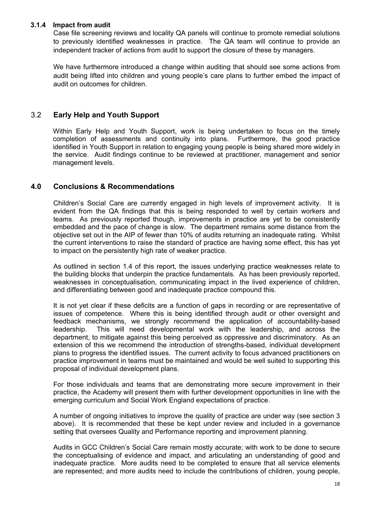#### **3.1.4 Impact from audit**

Case file screening reviews and locality QA panels will continue to promote remedial solutions to previously identified weaknesses in practice. The QA team will continue to provide an independent tracker of actions from audit to support the closure of these by managers.

We have furthermore introduced a change within auditing that should see some actions from audit being lifted into children and young people's care plans to further embed the impact of audit on outcomes for children.

# 3.2 **Early Help and Youth Support**

Within Early Help and Youth Support, work is being undertaken to focus on the timely completion of assessments and continuity into plans. Furthermore, the good practice identified in Youth Support in relation to engaging young people is being shared more widely in the service. Audit findings continue to be reviewed at practitioner, management and senior management levels.

# **4.0 Conclusions & Recommendations**

Children's Social Care are currently engaged in high levels of improvement activity. It is evident from the QA findings that this is being responded to well by certain workers and teams. As previously reported though, improvements in practice are yet to be consistently embedded and the pace of change is slow. The department remains some distance from the objective set out in the AIP of fewer than 10% of audits returning an inadequate rating. Whilst the current interventions to raise the standard of practice are having some effect, this has yet to impact on the persistently high rate of weaker practice.

As outlined in section 1.4 of this report, the issues underlying practice weaknesses relate to the building blocks that underpin the practice fundamentals. As has been previously reported, weaknesses in conceptualisation, communicating impact in the lived experience of children, and differentiating between good and inadequate practice compound this.

It is not yet clear if these deficits are a function of gaps in recording or are representative of issues of competence. Where this is being identified through audit or other oversight and feedback mechanisms, we strongly recommend the application of accountability-based leadership. This will need developmental work with the leadership, and across the department, to mitigate against this being perceived as oppressive and discriminatory. As an extension of this we recommend the introduction of strengths-based, individual development plans to progress the identified issues. The current activity to focus advanced practitioners on practice improvement in teams must be maintained and would be well suited to supporting this proposal of individual development plans.

For those individuals and teams that are demonstrating more secure improvement in their practice, the Academy will present them with further development opportunities in line with the emerging curriculum and Social Work England expectations of practice.

A number of ongoing initiatives to improve the quality of practice are under way (see section 3 above). It is recommended that these be kept under review and included in a governance setting that oversees Quality and Performance reporting and improvement planning.

Audits in GCC Children's Social Care remain mostly accurate; with work to be done to secure the conceptualising of evidence and impact, and articulating an understanding of good and inadequate practice. More audits need to be completed to ensure that all service elements are represented; and more audits need to include the contributions of children, young people,